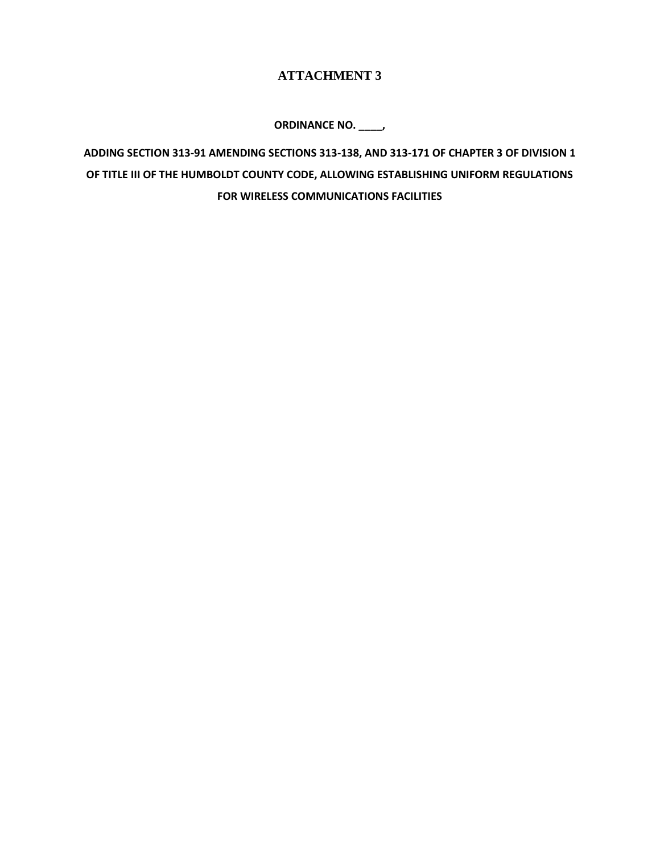## **ATTACHMENT 3**

**ORDINANCE NO. \_\_\_\_,**

**ADDING SECTION 313-91 AMENDING SECTIONS 313-138, AND 313-171 OF CHAPTER 3 OF DIVISION 1 OF TITLE III OF THE HUMBOLDT COUNTY CODE, ALLOWING ESTABLISHING UNIFORM REGULATIONS FOR WIRELESS COMMUNICATIONS FACILITIES**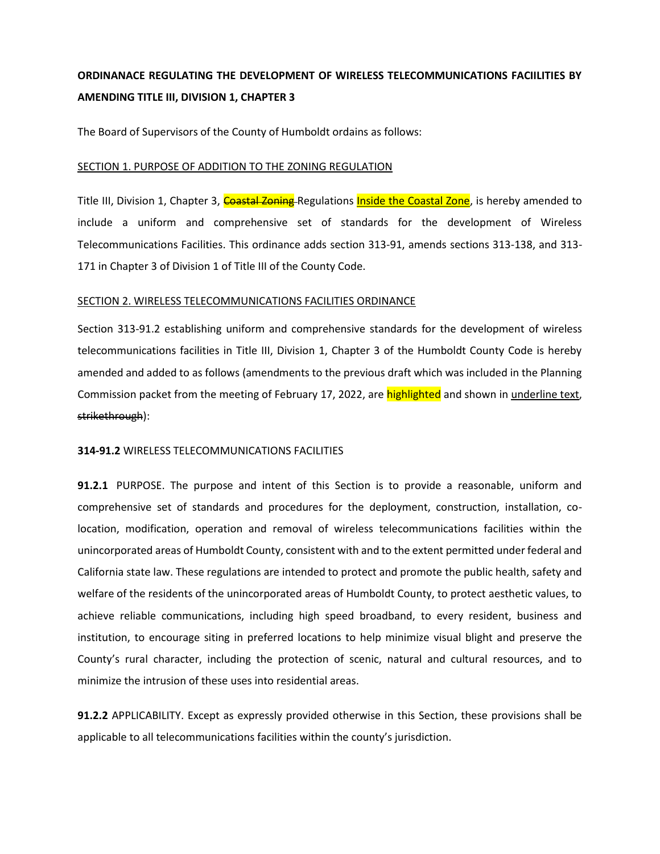# **ORDINANACE REGULATING THE DEVELOPMENT OF WIRELESS TELECOMMUNICATIONS FACIILITIES BY AMENDING TITLE III, DIVISION 1, CHAPTER 3**

The Board of Supervisors of the County of Humboldt ordains as follows:

### SECTION 1. PURPOSE OF ADDITION TO THE ZONING REGULATION

Title III, Division 1, Chapter 3, Coastal Zoning Regulations Inside the Coastal Zone, is hereby amended to include a uniform and comprehensive set of standards for the development of Wireless Telecommunications Facilities. This ordinance adds section 313-91, amends sections 313-138, and 313- 171 in Chapter 3 of Division 1 of Title III of the County Code.

## SECTION 2. WIRELESS TELECOMMUNICATIONS FACILITIES ORDINANCE

Section 313-91.2 establishing uniform and comprehensive standards for the development of wireless telecommunications facilities in Title III, Division 1, Chapter 3 of the Humboldt County Code is hereby amended and added to as follows (amendments to the previous draft which was included in the Planning Commission packet from the meeting of February 17, 2022, are highlighted and shown in underline text, strikethrough):

## **314-91.2** WIRELESS TELECOMMUNICATIONS FACILITIES

**91.2.1** PURPOSE. The purpose and intent of this Section is to provide a reasonable, uniform and comprehensive set of standards and procedures for the deployment, construction, installation, colocation, modification, operation and removal of wireless telecommunications facilities within the unincorporated areas of Humboldt County, consistent with and to the extent permitted under federal and California state law. These regulations are intended to protect and promote the public health, safety and welfare of the residents of the unincorporated areas of Humboldt County, to protect aesthetic values, to achieve reliable communications, including high speed broadband, to every resident, business and institution, to encourage siting in preferred locations to help minimize visual blight and preserve the County's rural character, including the protection of scenic, natural and cultural resources, and to minimize the intrusion of these uses into residential areas.

**91.2.2** APPLICABILITY. Except as expressly provided otherwise in this Section, these provisions shall be applicable to all telecommunications facilities within the county's jurisdiction.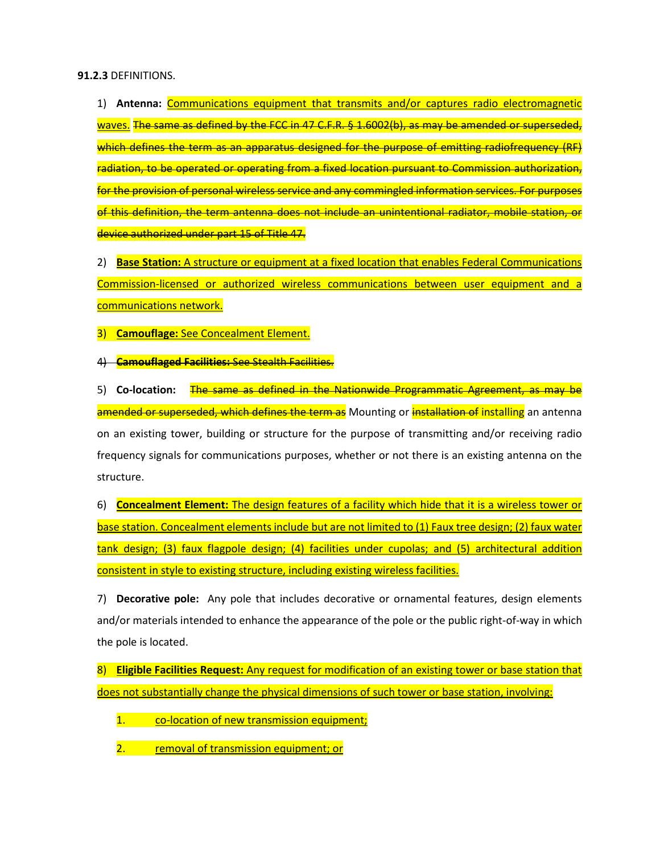#### **91.2.3** DEFINITIONS.

1) **Antenna:** Communications equipment that transmits and/or captures radio electromagnetic waves. The same as defined by the FCC in 47 C.F.R. § 1.6002(b), as may be amended or superseded, which defines the term as an apparatus designed for the purpose of emitting radiofrequency (RF) radiation, to be operated or operating from a fixed location pursuant to Commission authorization, for the provision of personal wireless service and any commingled information services. For purposes of this definition, the term antenna does not include an unintentional radiator, mobile station, or device authorized under part 15 of Title 47.

2) **Base Station:** A structure or equipment at a fixed location that enables Federal Communications Commission-licensed or authorized wireless communications between user equipment and a communications network.

3) **Camouflage:** See Concealment Element.

4) **Camouflaged Facilities:** See Stealth Facilities.

5) **Co-location:** The same as defined in the Nationwide Programmatic Agreement, as may be amended or superseded, which defines the term as Mounting or installation of installing an antenna on an existing tower, building or structure for the purpose of transmitting and/or receiving radio frequency signals for communications purposes, whether or not there is an existing antenna on the structure.

6) **Concealment Element:** The design features of a facility which hide that it is a wireless tower or base station. Concealment elements include but are not limited to (1) Faux tree design; (2) faux water tank design; (3) faux flagpole design; (4) facilities under cupolas; and (5) architectural addition consistent in style to existing structure, including existing wireless facilities.

7) **Decorative pole:** Any pole that includes decorative or ornamental features, design elements and/or materials intended to enhance the appearance of the pole or the public right-of-way in which the pole is located.

8) **Eligible Facilities Request:** Any request for modification of an existing tower or base station that does not substantially change the physical dimensions of such tower or base station, involving:

1. co-location of new transmission equipment;

2. **Proposely of transmission equipment; or**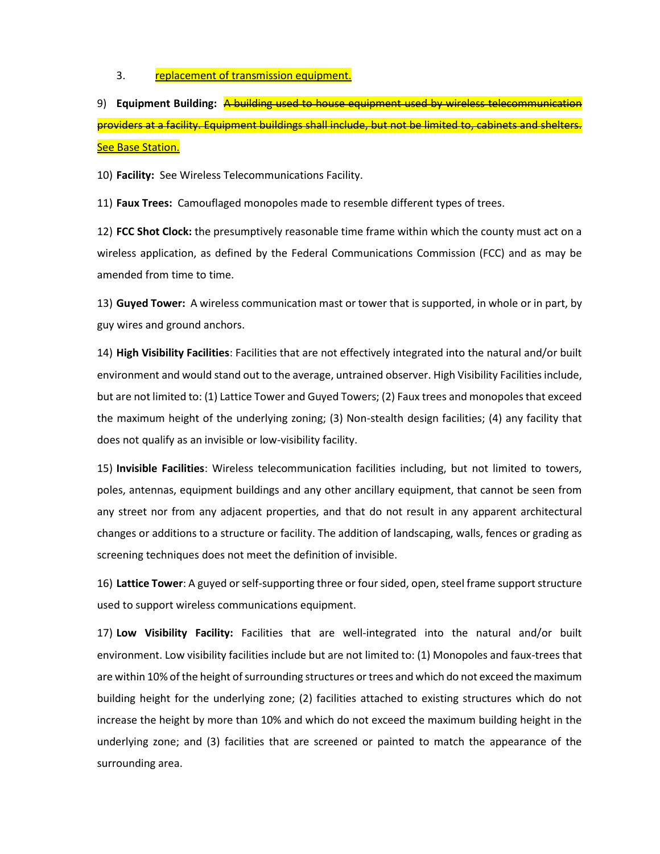3. **replacement of transmission equipment.** 

9) **Equipment Building:** A building used to house equipment used by wireless telecommunication providers at a facility. Equipment buildings shall include, but not be limited to, cabinets and shelters. **See Base Station.** 

10) **Facility:** See Wireless Telecommunications Facility.

11) **Faux Trees:** Camouflaged monopoles made to resemble different types of trees.

12) **FCC Shot Clock:** the presumptively reasonable time frame within which the county must act on a wireless application, as defined by the Federal Communications Commission (FCC) and as may be amended from time to time.

13) **Guyed Tower:** A wireless communication mast or tower that is supported, in whole or in part, by guy wires and ground anchors.

14) **High Visibility Facilities**: Facilities that are not effectively integrated into the natural and/or built environment and would stand out to the average, untrained observer. High Visibility Facilities include, but are not limited to: (1) Lattice Tower and Guyed Towers; (2) Faux trees and monopoles that exceed the maximum height of the underlying zoning; (3) Non-stealth design facilities; (4) any facility that does not qualify as an invisible or low-visibility facility.

15) **Invisible Facilities**: Wireless telecommunication facilities including, but not limited to towers, poles, antennas, equipment buildings and any other ancillary equipment, that cannot be seen from any street nor from any adjacent properties, and that do not result in any apparent architectural changes or additions to a structure or facility. The addition of landscaping, walls, fences or grading as screening techniques does not meet the definition of invisible.

16) **Lattice Tower**: A guyed or self-supporting three or four sided, open, steel frame support structure used to support wireless communications equipment.

17) **Low Visibility Facility:** Facilities that are well-integrated into the natural and/or built environment. Low visibility facilities include but are not limited to: (1) Monopoles and faux-trees that are within 10% of the height of surrounding structures or trees and which do not exceed the maximum building height for the underlying zone; (2) facilities attached to existing structures which do not increase the height by more than 10% and which do not exceed the maximum building height in the underlying zone; and (3) facilities that are screened or painted to match the appearance of the surrounding area.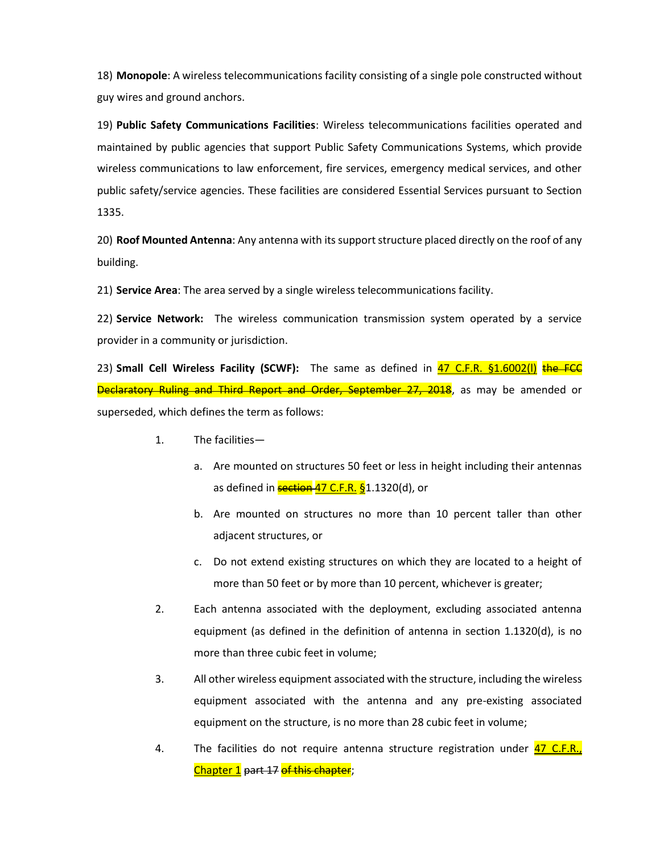18) **Monopole**: A wireless telecommunications facility consisting of a single pole constructed without guy wires and ground anchors.

19) **Public Safety Communications Facilities**: Wireless telecommunications facilities operated and maintained by public agencies that support Public Safety Communications Systems, which provide wireless communications to law enforcement, fire services, emergency medical services, and other public safety/service agencies. These facilities are considered Essential Services pursuant to Section 1335.

20) **Roof Mounted Antenna**: Any antenna with its support structure placed directly on the roof of any building.

21) **Service Area**: The area served by a single wireless telecommunications facility.

22) **Service Network:** The wireless communication transmission system operated by a service provider in a community or jurisdiction.

23) **Small Cell Wireless Facility (SCWF):** The same as defined in 47 C.F.R. §1.6002(I) the FCC Declaratory Ruling and Third Report and Order, September 27, 2018, as may be amended or superseded, which defines the term as follows:

- 1. The facilities
	- a. Are mounted on structures 50 feet or less in height including their antennas as defined in **section 47 C.F.R. §**1.1320(d), or
	- b. Are mounted on structures no more than 10 percent taller than other adjacent structures, or
	- c. Do not extend existing structures on which they are located to a height of more than 50 feet or by more than 10 percent, whichever is greater;
- 2. Each antenna associated with the deployment, excluding associated antenna equipment (as defined in the definition of antenna in section 1.1320(d), is no more than three cubic feet in volume;
- 3. All other wireless equipment associated with the structure, including the wireless equipment associated with the antenna and any pre-existing associated equipment on the structure, is no more than 28 cubic feet in volume;
- 4. The facilities do not require antenna structure registration under 47 C.F.R., Chapter 1 part 17 of this chapter;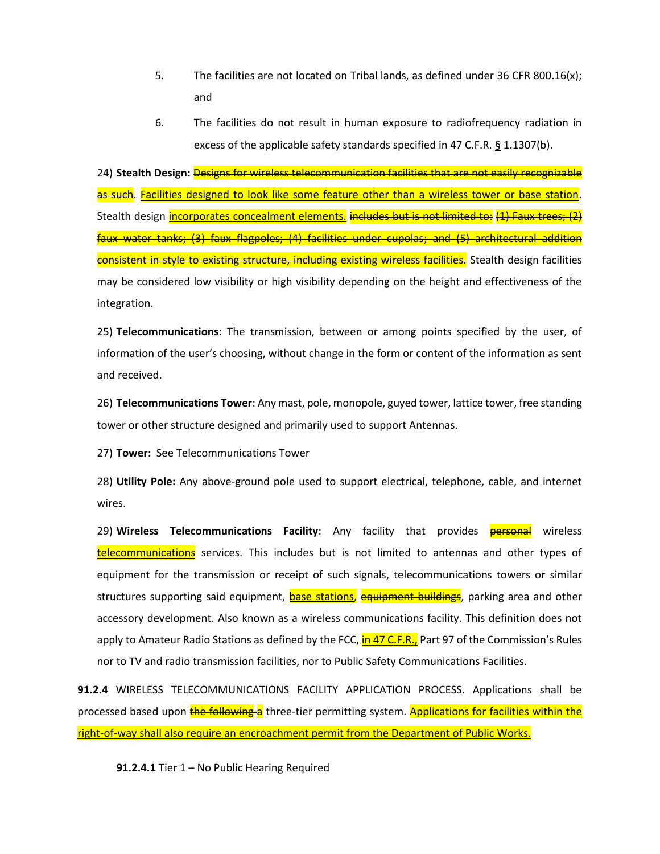- 5. The facilities are not located on Tribal lands, as defined under 36 CFR 800.16(x); and
- 6. The facilities do not result in human exposure to radiofrequency radiation in excess of the applicable safety standards specified in 47 C.F.R. § 1.1307(b).

24) **Stealth Design:** Designs for wireless telecommunication facilities that are not easily recognizable as such. Facilities designed to look like some feature other than a wireless tower or base station. Stealth design incorporates concealment elements. includes but is not limited to: (1) Faux trees; (2) faux water tanks; (3) faux flagpoles; (4) facilities under cupolas; and (5) architectural addition consistent in style to existing structure, including existing wireless facilities. Stealth design facilities may be considered low visibility or high visibility depending on the height and effectiveness of the integration.

25) **Telecommunications**: The transmission, between or among points specified by the user, of information of the user's choosing, without change in the form or content of the information as sent and received.

26) **Telecommunications Tower**: Any mast, pole, monopole, guyed tower, lattice tower, free standing tower or other structure designed and primarily used to support Antennas.

27) **Tower:** See Telecommunications Tower

28) **Utility Pole:** Any above-ground pole used to support electrical, telephone, cable, and internet wires.

29) **Wireless Telecommunications Facility**: Any facility that provides **personal** wireless telecommunications services. This includes but is not limited to antennas and other types of equipment for the transmission or receipt of such signals, telecommunications towers or similar structures supporting said equipment, base stations, equipment buildings, parking area and other accessory development. Also known as a wireless communications facility. This definition does not apply to Amateur Radio Stations as defined by the FCC, in 47 C.F.R., Part 97 of the Commission's Rules nor to TV and radio transmission facilities, nor to Public Safety Communications Facilities.

**91.2.4** WIRELESS TELECOMMUNICATIONS FACILITY APPLICATION PROCESS. Applications shall be processed based upon the following a three-tier permitting system. Applications for facilities within the right-of-way shall also require an encroachment permit from the Department of Public Works.

**91.2.4.1** Tier 1 – No Public Hearing Required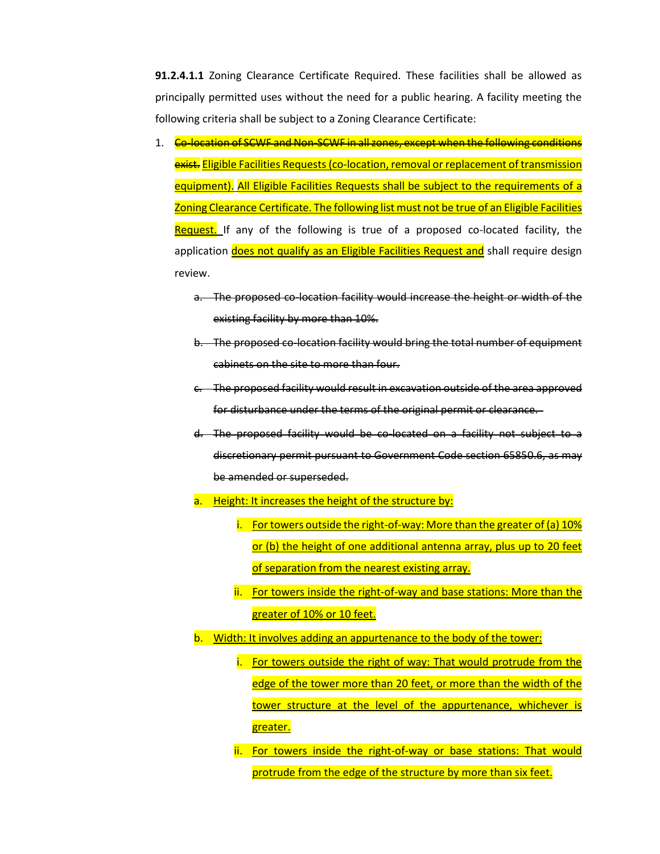**91.2.4.1.1** Zoning Clearance Certificate Required. These facilities shall be allowed as principally permitted uses without the need for a public hearing. A facility meeting the following criteria shall be subject to a Zoning Clearance Certificate:

- 1. Co-location of SCWF and Non-SCWF in all zones, except when the following conditions exist. Eligible Facilities Requests (co-location, removal or replacement of transmission equipment). All Eligible Facilities Requests shall be subject to the requirements of a Zoning Clearance Certificate. The following list must not be true of an Eligible Facilities Request. If any of the following is true of a proposed co-located facility, the application does not qualify as an Eligible Facilities Request and shall require design review.
	- a. The proposed co-location facility would increase the height or width of the existing facility by more than 10%.
	- b. The proposed co-location facility would bring the total number of equipment cabinets on the site to more than four.
	- c. The proposed facility would result in excavation outside of the area approved for disturbance under the terms of the original permit or clearance.
	- d. The proposed facility would be co-located on a facility not subject to a discretionary permit pursuant to Government Code section 65850.6, as may be amended or superseded.
	- a. Height: It increases the height of the structure by:
		- i. For towers outside the right-of-way: More than the greater of (a) 10% or (b) the height of one additional antenna array, plus up to 20 feet of separation from the nearest existing array.
		- ii. For towers inside the right-of-way and base stations: More than the greater of 10% or 10 feet.
	- b. Width: It involves adding an appurtenance to the body of the tower:
		- i. For towers outside the right of way: That would protrude from the edge of the tower more than 20 feet, or more than the width of the tower structure at the level of the appurtenance, whichever is greater.
		- ii. For towers inside the right-of-way or base stations: That would protrude from the edge of the structure by more than six feet.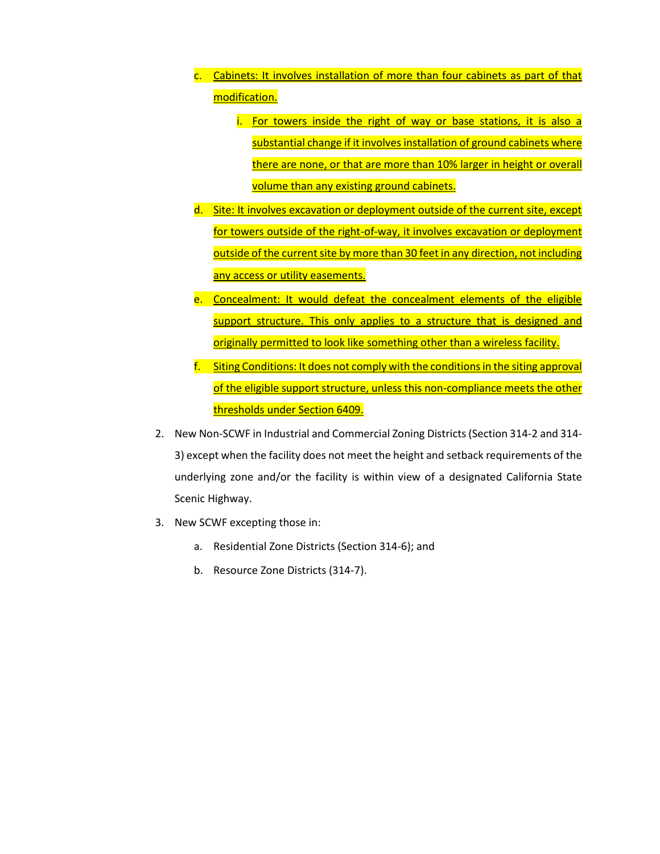- c. Cabinets: It involves installation of more than four cabinets as part of that modification.
	- i. For towers inside the right of way or base stations, it is also a substantial change if it involves installation of ground cabinets where there are none, or that are more than 10% larger in height or overall volume than any existing ground cabinets.
- d. Site: It involves excavation or deployment outside of the current site, except for towers outside of the right-of-way, it involves excavation or deployment outside of the current site by more than 30 feet in any direction, not including any access or utility easements.
- e. Concealment: It would defeat the concealment elements of the eligible support structure. This only applies to a structure that is designed and originally permitted to look like something other than a wireless facility.
- f. Siting Conditions: It does not comply with the conditions in the siting approval of the eligible support structure, unless this non-compliance meets the other thresholds under Section 6409.
- 2. New Non-SCWF in Industrial and Commercial Zoning Districts (Section 314-2 and 314- 3) except when the facility does not meet the height and setback requirements of the underlying zone and/or the facility is within view of a designated California State Scenic Highway.
- 3. New SCWF excepting those in:
	- a. Residential Zone Districts (Section 314-6); and
	- b. Resource Zone Districts (314-7).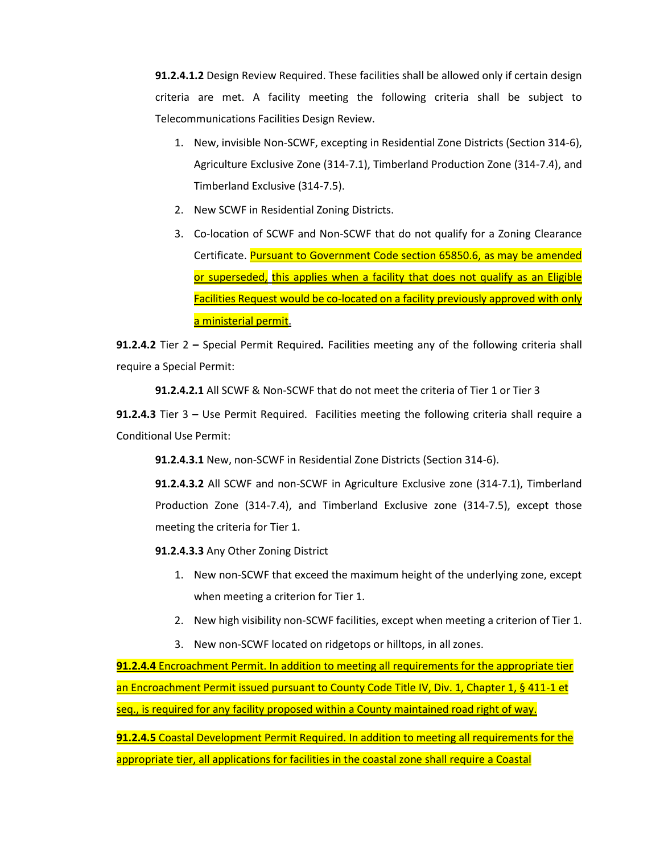**91.2.4.1.2** Design Review Required. These facilities shall be allowed only if certain design criteria are met. A facility meeting the following criteria shall be subject to Telecommunications Facilities Design Review.

- 1. New, invisible Non-SCWF, excepting in Residential Zone Districts (Section 314-6), Agriculture Exclusive Zone (314-7.1), Timberland Production Zone (314-7.4), and Timberland Exclusive (314-7.5).
- 2. New SCWF in Residential Zoning Districts.
- 3. Co-location of SCWF and Non-SCWF that do not qualify for a Zoning Clearance Certificate. Pursuant to Government Code section 65850.6, as may be amended or superseded, this applies when a facility that does not qualify as an Eligible Facilities Request would be co-located on a facility previously approved with only a ministerial permit.

**91.2.4.2** Tier 2 **–** Special Permit Required**.** Facilities meeting any of the following criteria shall require a Special Permit:

**91.2.4.2.1** All SCWF & Non-SCWF that do not meet the criteria of Tier 1 or Tier 3

**91.2.4.3** Tier 3 **–** Use Permit Required.Facilities meeting the following criteria shall require a Conditional Use Permit:

**91.2.4.3.1** New, non-SCWF in Residential Zone Districts (Section 314-6).

**91.2.4.3.2** All SCWF and non-SCWF in Agriculture Exclusive zone (314-7.1), Timberland Production Zone (314-7.4), and Timberland Exclusive zone (314-7.5), except those meeting the criteria for Tier 1.

**91.2.4.3.3** Any Other Zoning District

- 1. New non-SCWF that exceed the maximum height of the underlying zone, except when meeting a criterion for Tier 1.
- 2. New high visibility non-SCWF facilities, except when meeting a criterion of Tier 1.
- 3. New non-SCWF located on ridgetops or hilltops, in all zones.

**91.2.4.4** Encroachment Permit. In addition to meeting all requirements for the appropriate tier an Encroachment Permit issued pursuant to County Code Title IV, Div. 1, Chapter 1, § 411-1 et seq., is required for any facility proposed within a County maintained road right of way.

**91.2.4.5** Coastal Development Permit Required. In addition to meeting all requirements for the appropriate tier, all applications for facilities in the coastal zone shall require a Coastal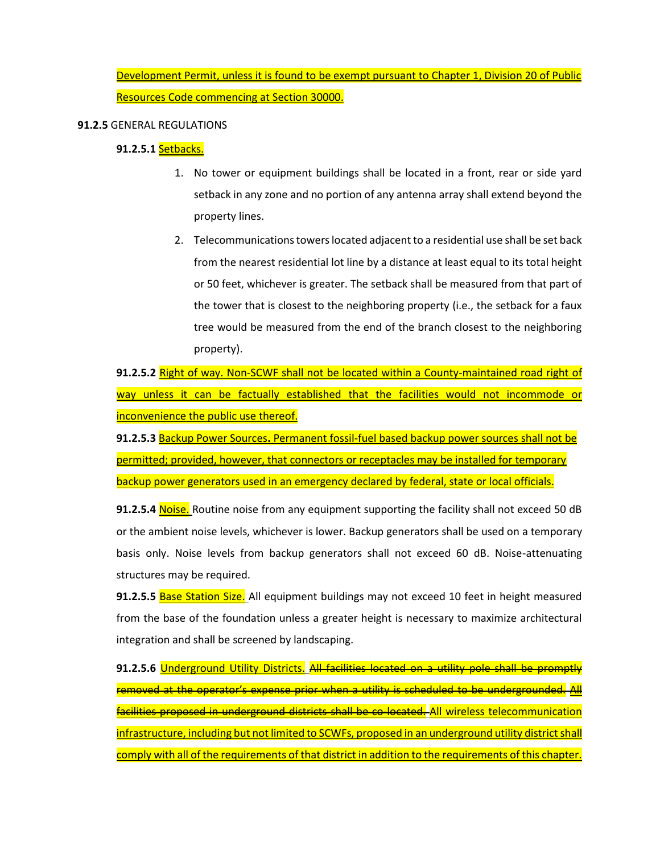Development Permit, unless it is found to be exempt pursuant to Chapter 1, Division 20 of Public Resources Code commencing at Section 30000.

### **91.2.5** GENERAL REGULATIONS

## **91.2.5.1** Setbacks.

- 1. No tower or equipment buildings shall be located in a front, rear or side yard setback in any zone and no portion of any antenna array shall extend beyond the property lines.
- 2. Telecommunications towers located adjacent to a residential use shall be set back from the nearest residential lot line by a distance at least equal to its total height or 50 feet, whichever is greater. The setback shall be measured from that part of the tower that is closest to the neighboring property (i.e., the setback for a faux tree would be measured from the end of the branch closest to the neighboring property).

**91.2.5.2** Right of way. Non-SCWF shall not be located within a County-maintained road right of way unless it can be factually established that the facilities would not incommode or inconvenience the public use thereof.

**91.2.5.3** Backup Power Sources**.** Permanent fossil-fuel based backup power sources shall not be permitted; provided, however, that connectors or receptacles may be installed for temporary backup power generators used in an emergency declared by federal, state or local officials.

**91.2.5.4** Noise. Routine noise from any equipment supporting the facility shall not exceed 50 dB or the ambient noise levels, whichever is lower. Backup generators shall be used on a temporary basis only. Noise levels from backup generators shall not exceed 60 dB. Noise-attenuating structures may be required.

91.2.5.5 **Base Station Size.** All equipment buildings may not exceed 10 feet in height measured from the base of the foundation unless a greater height is necessary to maximize architectural integration and shall be screened by landscaping.

**91.2.5.6** Underground Utility Districts. All facilities located on a utility pole shall be promptly removed at the operator's expense prior when a utility is scheduled to be undergrounded. All facilities proposed in underground districts shall be co-located. All wireless telecommunication infrastructure, including but not limited to SCWFs, proposed in an underground utility district shall comply with all of the requirements of that district in addition to the requirements of this chapter.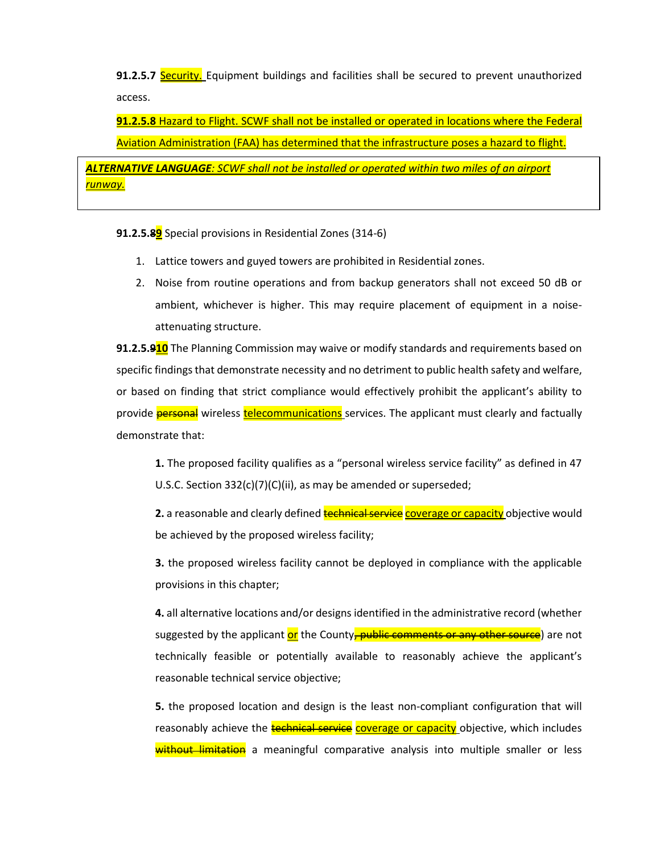**91.2.5.7 Security.** Equipment buildings and facilities shall be secured to prevent unauthorized access.

**91.2.5.8** Hazard to Flight. SCWF shall not be installed or operated in locations where the Federal Aviation Administration (FAA) has determined that the infrastructure poses a hazard to flight.

*ALTERNATIVE LANGUAGE: SCWF shall not be installed or operated within two miles of an airport runway.*

**91.2.5.89** Special provisions in Residential Zones (314-6)

- 1. Lattice towers and guyed towers are prohibited in Residential zones.
- 2. Noise from routine operations and from backup generators shall not exceed 50 dB or ambient, whichever is higher. This may require placement of equipment in a noiseattenuating structure.

**91.2.5.910** The Planning Commission may waive or modify standards and requirements based on specific findings that demonstrate necessity and no detriment to public health safety and welfare, or based on finding that strict compliance would effectively prohibit the applicant's ability to provide **personal** wireless **telecommunications** services. The applicant must clearly and factually demonstrate that:

**1.** The proposed facility qualifies as a "personal wireless service facility" as defined in 47 U.S.C. Section 332(c)(7)(C)(ii), as may be amended or superseded;

**2.** a reasonable and clearly defined **technical service** coverage or capacity objective would be achieved by the proposed wireless facility;

**3.** the proposed wireless facility cannot be deployed in compliance with the applicable provisions in this chapter;

**4.** all alternative locations and/or designs identified in the administrative record (whether suggested by the applicant or the County, public comments or any other source) are not technically feasible or potentially available to reasonably achieve the applicant's reasonable technical service objective;

**5.** the proposed location and design is the least non-compliant configuration that will reasonably achieve the technical service coverage or capacity objective, which includes without limitation a meaningful comparative analysis into multiple smaller or less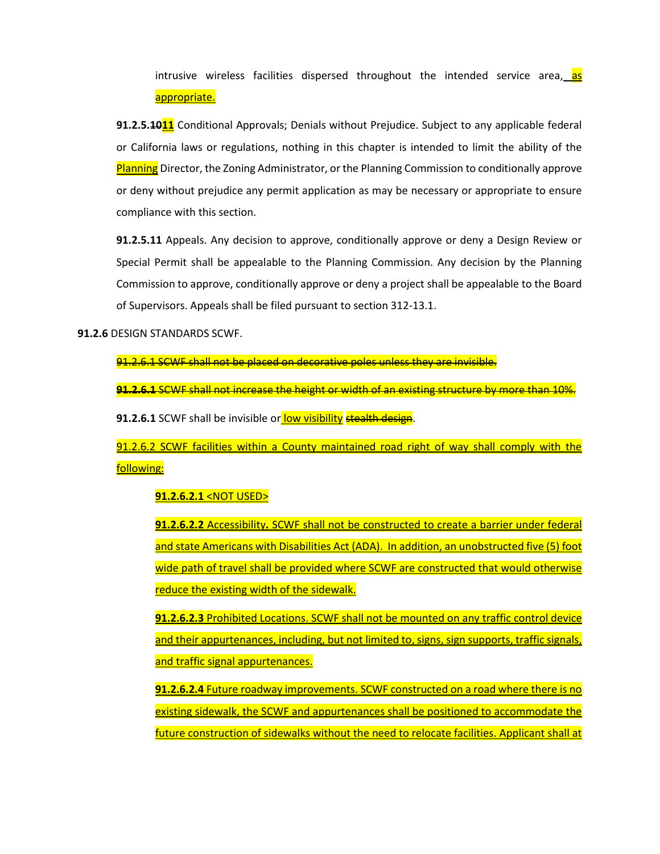intrusive wireless facilities dispersed throughout the intended service area, as appropriate.

**91.2.5.1011** Conditional Approvals; Denials without Prejudice. Subject to any applicable federal or California laws or regulations, nothing in this chapter is intended to limit the ability of the Planning Director, the Zoning Administrator, or the Planning Commission to conditionally approve or deny without prejudice any permit application as may be necessary or appropriate to ensure compliance with this section.

**91.2.5.11** Appeals. Any decision to approve, conditionally approve or deny a Design Review or Special Permit shall be appealable to the Planning Commission. Any decision by the Planning Commission to approve, conditionally approve or deny a project shall be appealable to the Board of Supervisors. Appeals shall be filed pursuant to section 312-13.1.

**91.2.6** DESIGN STANDARDS SCWF.

91.2.6.1 SCWF shall not be placed on decorative poles unless they are invisible.

**91.2.6.1** SCWF shall not increase the height or width of an existing structure by more than 10%.

**91.2.6.1** SCWF shall be invisible or low visibility stealth design.

91.2.6.2 SCWF facilities within a County maintained road right of way shall comply with the following:

#### **91.2.6.2.1** <NOT USED>

**91.2.6.2.2** Accessibility**.** SCWF shall not be constructed to create a barrier under federal and state Americans with Disabilities Act (ADA). In addition, an unobstructed five (5) foot wide path of travel shall be provided where SCWF are constructed that would otherwise reduce the existing width of the sidewalk.

**91.2.6.2.3** Prohibited Locations. SCWF shall not be mounted on any traffic control device and their appurtenances, including, but not limited to, signs, sign supports, traffic signals, and traffic signal appurtenances.

**91.2.6.2.4** Future roadway improvements. SCWF constructed on a road where there is no existing sidewalk, the SCWF and appurtenances shall be positioned to accommodate the future construction of sidewalks without the need to relocate facilities. Applicant shall at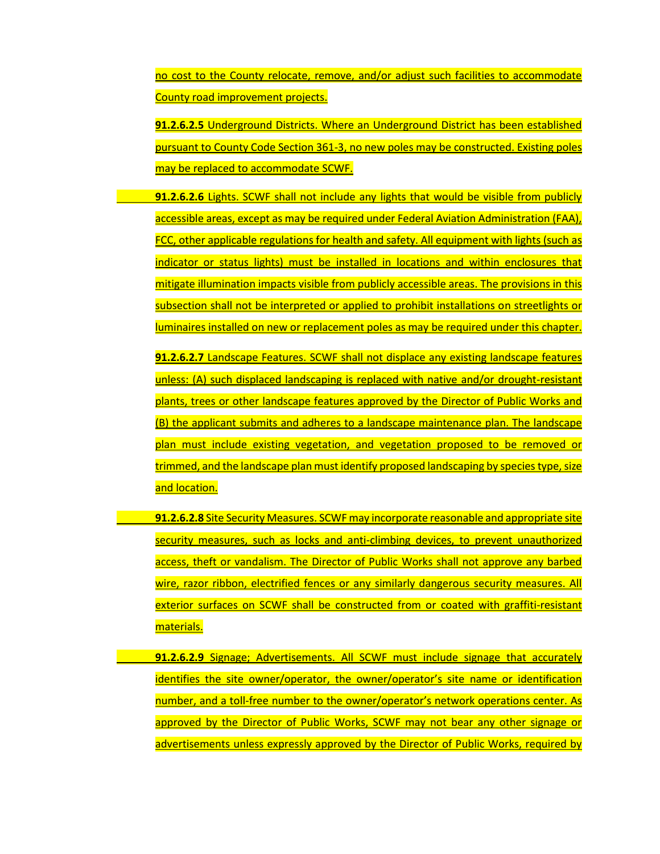no cost to the County relocate, remove, and/or adjust such facilities to accommodate County road improvement projects.

**91.2.6.2.5** Underground Districts. Where an Underground District has been established pursuant to County Code Section 361-3, no new poles may be constructed. Existing poles may be replaced to accommodate SCWF.

**91.2.6.2.6** Lights. SCWF shall not include any lights that would be visible from publicly accessible areas, except as may be required under Federal Aviation Administration (FAA), FCC, other applicable regulations for health and safety. All equipment with lights (such as indicator or status lights) must be installed in locations and within enclosures that mitigate illumination impacts visible from publicly accessible areas. The provisions in this subsection shall not be interpreted or applied to prohibit installations on streetlights or luminaires installed on new or replacement poles as may be required under this chapter.

**91.2.6.2.7** Landscape Features. SCWF shall not displace any existing landscape features unless: (A) such displaced landscaping is replaced with native and/or drought-resistant plants, trees or other landscape features approved by the Director of Public Works and (B) the applicant submits and adheres to a landscape maintenance plan. The landscape plan must include existing vegetation, and vegetation proposed to be removed or trimmed, and the landscape plan must identify proposed landscaping by species type, size and location.

**91.2.6.2.8** Site Security Measures. SCWF may incorporate reasonable and appropriate site security measures, such as locks and anti-climbing devices, to prevent unauthorized access, theft or vandalism. The Director of Public Works shall not approve any barbed wire, razor ribbon, electrified fences or any similarly dangerous security measures. All exterior surfaces on SCWF shall be constructed from or coated with graffiti-resistant materials.

**91.2.6.2.9** Signage; Advertisements. All SCWF must include signage that accurately identifies the site owner/operator, the owner/operator's site name or identification number, and a toll-free number to the owner/operator's network operations center. As approved by the Director of Public Works, SCWF may not bear any other signage or advertisements unless expressly approved by the Director of Public Works, required by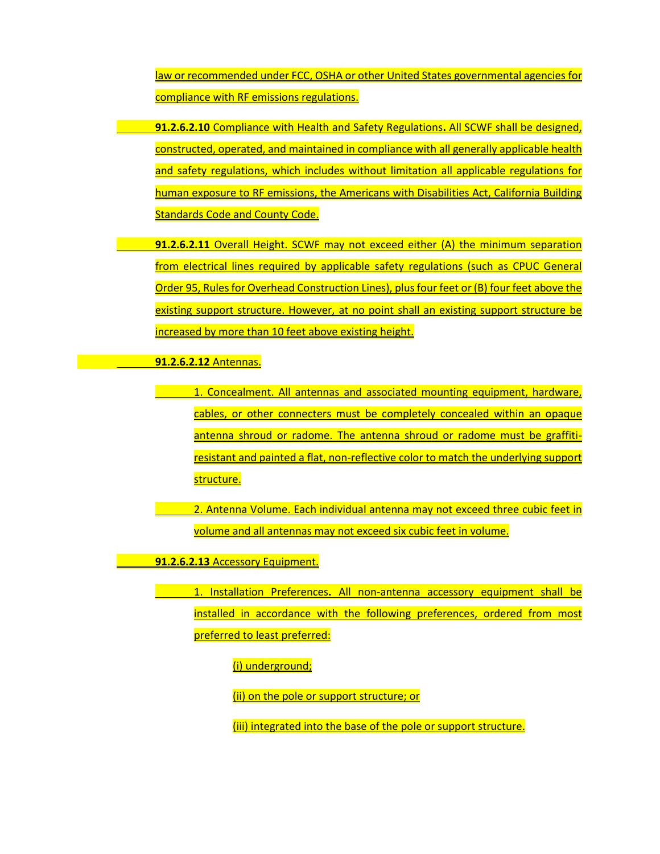law or recommended under FCC, OSHA or other United States governmental agencies for compliance with RF emissions regulations.

**91.2.6.2.10** Compliance with Health and Safety Regulations**.** All SCWF shall be designed, constructed, operated, and maintained in compliance with all generally applicable health and safety regulations, which includes without limitation all applicable regulations for human exposure to RF emissions, the Americans with Disabilities Act, California Building Standards Code and County Code.

**91.2.6.2.11** Overall Height. SCWF may not exceed either (A) the minimum separation from electrical lines required by applicable safety regulations (such as CPUC General Order 95, Rules for Overhead Construction Lines), plus four feet or (B) four feet above the existing support structure. However, at no point shall an existing support structure be increased by more than 10 feet above existing height.

**91.2.6.2.12** Antennas.

1. Concealment. All antennas and associated mounting equipment, hardware, cables, or other connecters must be completely concealed within an opaque antenna shroud or radome. The antenna shroud or radome must be graffitiresistant and painted a flat, non-reflective color to match the underlying support structure.

2. Antenna Volume. Each individual antenna may not exceed three cubic feet in volume and all antennas may not exceed six cubic feet in volume.

**91.2.6.2.13** Accessory Equipment.

1. Installation Preferences**.** All non-antenna accessory equipment shall be installed in accordance with the following preferences, ordered from most preferred to least preferred:

(i) underground;

(ii) on the pole or support structure; or

(iii) integrated into the base of the pole or support structure.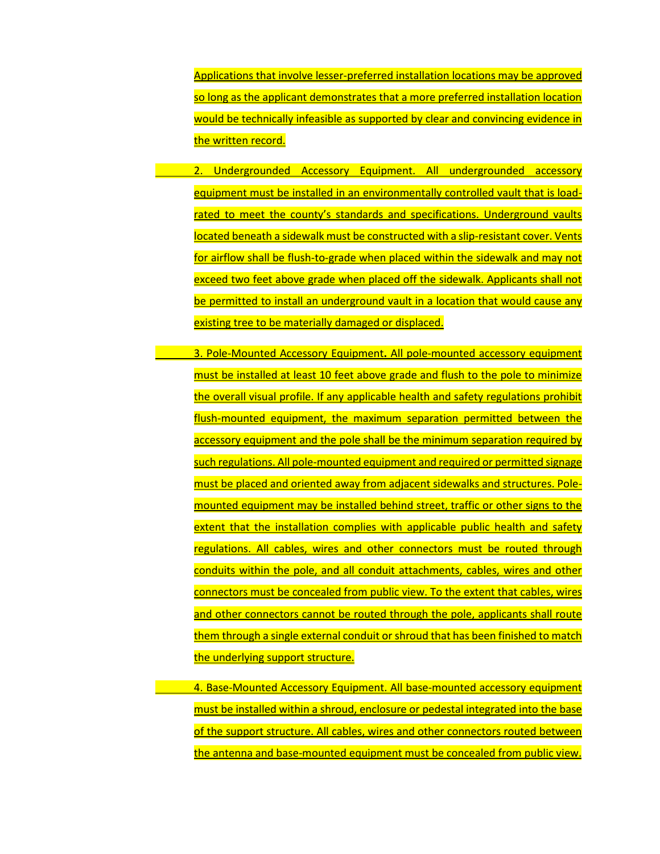Applications that involve lesser-preferred installation locations may be approved so long as the applicant demonstrates that a more preferred installation location would be technically infeasible as supported by clear and convincing evidence in the written record.

2. Undergrounded Accessory Equipment. All undergrounded accessory equipment must be installed in an environmentally controlled vault that is loadrated to meet the county's standards and specifications. Underground vaults located beneath a sidewalk must be constructed with a slip-resistant cover. Vents for airflow shall be flush-to-grade when placed within the sidewalk and may not exceed two feet above grade when placed off the sidewalk. Applicants shall not be permitted to install an underground vault in a location that would cause any existing tree to be materially damaged or displaced.

3. Pole-Mounted Accessory Equipment**.** All pole-mounted accessory equipment must be installed at least 10 feet above grade and flush to the pole to minimize the overall visual profile. If any applicable health and safety regulations prohibit flush-mounted equipment, the maximum separation permitted between the accessory equipment and the pole shall be the minimum separation required by such regulations. All pole-mounted equipment and required or permitted signage must be placed and oriented away from adjacent sidewalks and structures. Polemounted equipment may be installed behind street, traffic or other signs to the extent that the installation complies with applicable public health and safety regulations. All cables, wires and other connectors must be routed through conduits within the pole, and all conduit attachments, cables, wires and other connectors must be concealed from public view. To the extent that cables, wires and other connectors cannot be routed through the pole, applicants shall route them through a single external conduit or shroud that has been finished to match the underlying support structure.

4. Base-Mounted Accessory Equipment. All base-mounted accessory equipment must be installed within a shroud, enclosure or pedestal integrated into the base of the support structure. All cables, wires and other connectors routed between the antenna and base-mounted equipment must be concealed from public view.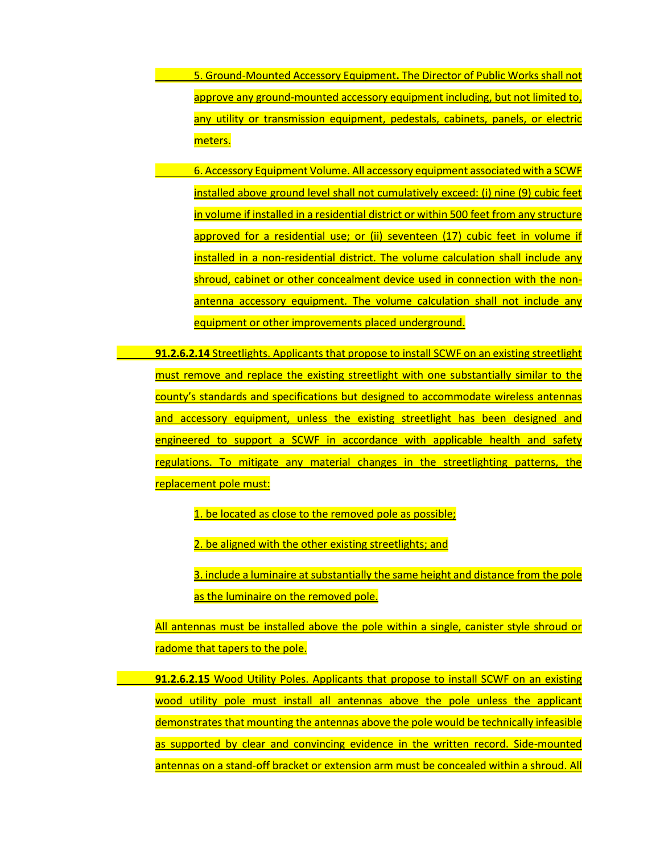5. Ground-Mounted Accessory Equipment**.** The Director of Public Works shall not approve any ground-mounted accessory equipment including, but not limited to, any utility or transmission equipment, pedestals, cabinets, panels, or electric meters.

- 6. Accessory Equipment Volume. All accessory equipment associated with a SCWF installed above ground level shall not cumulatively exceed: (i) nine (9) cubic feet in volume if installed in a residential district or within 500 feet from any structure approved for a residential use; or (ii) seventeen (17) cubic feet in volume if installed in a non-residential district. The volume calculation shall include any shroud, cabinet or other concealment device used in connection with the nonantenna accessory equipment. The volume calculation shall not include any equipment or other improvements placed underground.
- **91.2.6.2.14** Streetlights. Applicants that propose to install SCWF on an existing streetlight must remove and replace the existing streetlight with one substantially similar to the county's standards and specifications but designed to accommodate wireless antennas and accessory equipment, unless the existing streetlight has been designed and engineered to support a SCWF in accordance with applicable health and safety regulations. To mitigate any material changes in the streetlighting patterns, the replacement pole must:

1. be located as close to the removed pole as possible;

2. be aligned with the other existing streetlights; and

3. include a luminaire at substantially the same height and distance from the pole as the luminaire on the removed pole.

All antennas must be installed above the pole within a single, canister style shroud or radome that tapers to the pole.

**91.2.6.2.15** Wood Utility Poles. Applicants that propose to install SCWF on an existing wood utility pole must install all antennas above the pole unless the applicant demonstrates that mounting the antennas above the pole would be technically infeasible as supported by clear and convincing evidence in the written record. Side-mounted antennas on a stand-off bracket or extension arm must be concealed within a shroud. All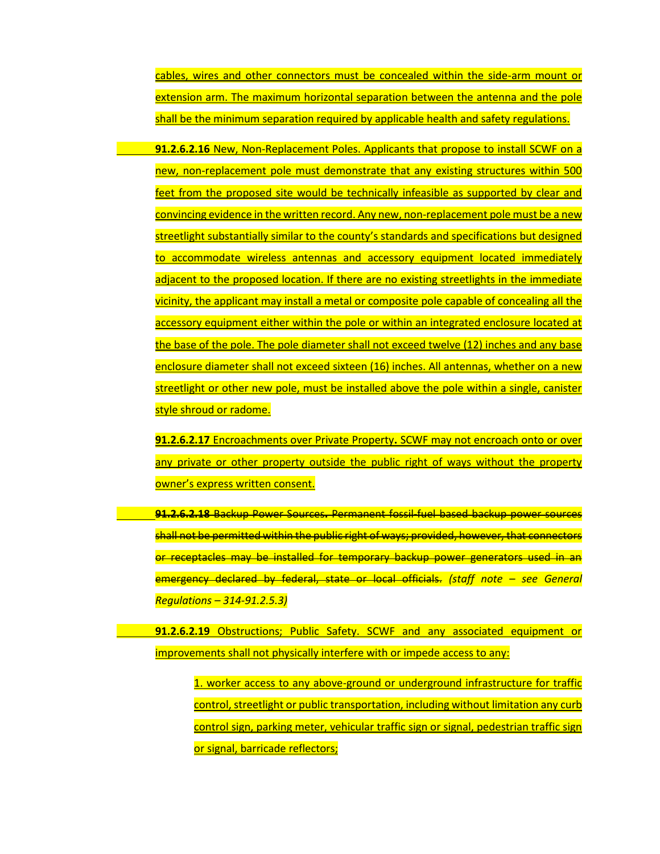cables, wires and other connectors must be concealed within the side-arm mount or extension arm. The maximum horizontal separation between the antenna and the pole shall be the minimum separation required by applicable health and safety regulations.

**91.2.6.2.16** New, Non-Replacement Poles. Applicants that propose to install SCWF on a new, non-replacement pole must demonstrate that any existing structures within 500 feet from the proposed site would be technically infeasible as supported by clear and convincing evidence in the written record. Any new, non-replacement pole must be a new streetlight substantially similar to the county's standards and specifications but designed to accommodate wireless antennas and accessory equipment located immediately adjacent to the proposed location. If there are no existing streetlights in the immediate vicinity, the applicant may install a metal or composite pole capable of concealing all the accessory equipment either within the pole or within an integrated enclosure located at the base of the pole. The pole diameter shall not exceed twelve (12) inches and any base enclosure diameter shall not exceed sixteen (16) inches. All antennas, whether on a new streetlight or other new pole, must be installed above the pole within a single, canister style shroud or radome.

**91.2.6.2.17** Encroachments over Private Property**.** SCWF may not encroach onto or over any private or other property outside the public right of ways without the property owner's express written consent.

**91.2.6.2.18** Backup Power Sources**.** Permanent fossil-fuel based backup power sources shall not be permitted within the public right of ways; provided, however, that connectors or receptacles may be installed for temporary backup power generators used in an emergency declared by federal, state or local officials. *(staff note – see General Regulations – 314-91.2.5.3)*

**91.2.6.2.19** Obstructions; Public Safety. SCWF and any associated equipment or improvements shall not physically interfere with or impede access to any:

1. worker access to any above-ground or underground infrastructure for traffic control, streetlight or public transportation, including without limitation any curb control sign, parking meter, vehicular traffic sign or signal, pedestrian traffic sign or signal, barricade reflectors;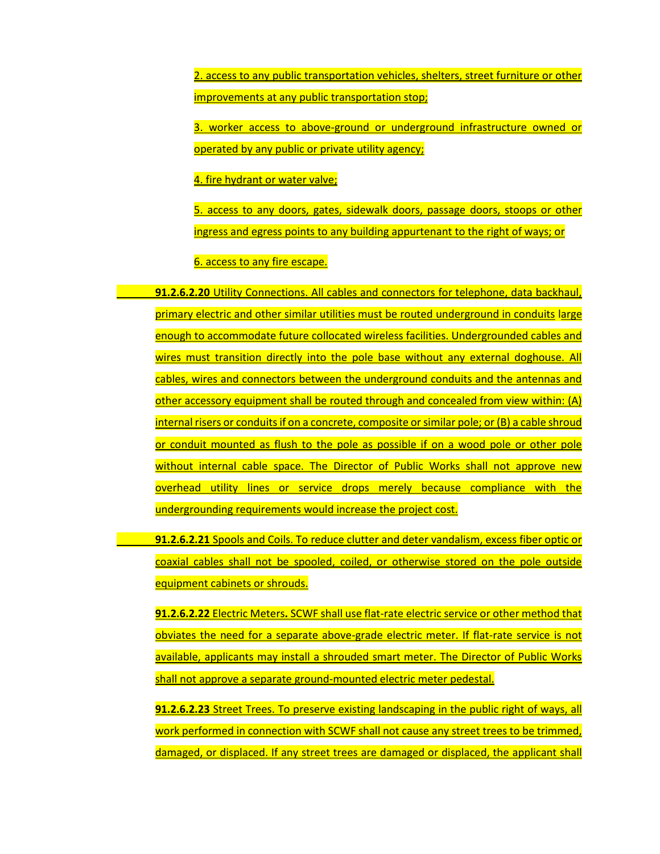2. access to any public transportation vehicles, shelters, street furniture or other improvements at any public transportation stop;

3. worker access to above-ground or underground infrastructure owned or operated by any public or private utility agency;

4. fire hydrant or water valve;

5. access to any doors, gates, sidewalk doors, passage doors, stoops or other ingress and egress points to any building appurtenant to the right of ways; or

6. access to any fire escape.

**91.2.6.2.20** Utility Connections. All cables and connectors for telephone, data backhaul, primary electric and other similar utilities must be routed underground in conduits large enough to accommodate future collocated wireless facilities. Undergrounded cables and wires must transition directly into the pole base without any external doghouse. All cables, wires and connectors between the underground conduits and the antennas and other accessory equipment shall be routed through and concealed from view within: (A) internal risers or conduits if on a concrete, composite or similar pole; or (B) a cable shroud or conduit mounted as flush to the pole as possible if on a wood pole or other pole without internal cable space. The Director of Public Works shall not approve new overhead utility lines or service drops merely because compliance with the undergrounding requirements would increase the project cost.

**91.2.6.2.21** Spools and Coils. To reduce clutter and deter vandalism, excess fiber optic or coaxial cables shall not be spooled, coiled, or otherwise stored on the pole outside equipment cabinets or shrouds.

**91.2.6.2.22** Electric Meters**.** SCWF shall use flat-rate electric service or other method that obviates the need for a separate above-grade electric meter. If flat-rate service is not available, applicants may install a shrouded smart meter. The Director of Public Works shall not approve a separate ground-mounted electric meter pedestal.

**91.2.6.2.23** Street Trees. To preserve existing landscaping in the public right of ways, all work performed in connection with SCWF shall not cause any street trees to be trimmed, damaged, or displaced. If any street trees are damaged or displaced, the applicant shall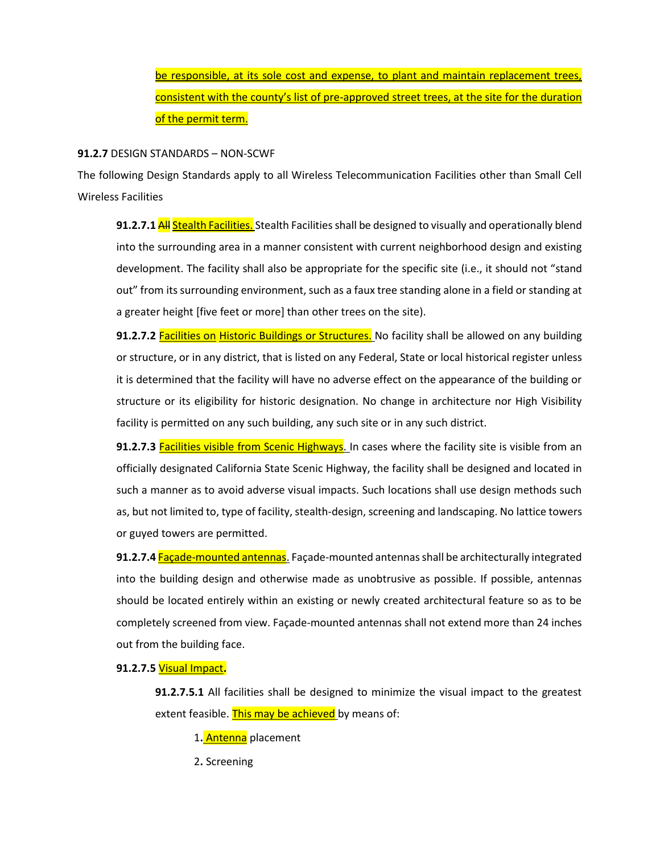be responsible, at its sole cost and expense, to plant and maintain replacement trees, consistent with the county's list of pre-approved street trees, at the site for the duration of the permit term.

### **91.2.7** DESIGN STANDARDS – NON-SCWF

The following Design Standards apply to all Wireless Telecommunication Facilities other than Small Cell Wireless Facilities

**91.2.7.1 All Stealth Facilities.** Stealth Facilities shall be designed to visually and operationally blend into the surrounding area in a manner consistent with current neighborhood design and existing development. The facility shall also be appropriate for the specific site (i.e., it should not "stand out" from its surrounding environment, such as a faux tree standing alone in a field or standing at a greater height [five feet or more] than other trees on the site).

**91.2.7.2** Facilities on Historic Buildings or Structures. No facility shall be allowed on any building or structure, or in any district, that is listed on any Federal, State or local historical register unless it is determined that the facility will have no adverse effect on the appearance of the building or structure or its eligibility for historic designation. No change in architecture nor High Visibility facility is permitted on any such building, any such site or in any such district.

**91.2.7.3** Facilities visible from Scenic Highways. In cases where the facility site is visible from an officially designated California State Scenic Highway, the facility shall be designed and located in such a manner as to avoid adverse visual impacts. Such locations shall use design methods such as, but not limited to, type of facility, stealth-design, screening and landscaping. No lattice towers or guyed towers are permitted.

**91.2.7.4** Façade-mounted antennas. Façade-mounted antennas shall be architecturally integrated into the building design and otherwise made as unobtrusive as possible. If possible, antennas should be located entirely within an existing or newly created architectural feature so as to be completely screened from view. Façade-mounted antennas shall not extend more than 24 inches out from the building face.

## **91.2.7.5** Visual Impact**.**

**91.2.7.5.1** All facilities shall be designed to minimize the visual impact to the greatest extent feasible. This may be achieved by means of:

1**.** Antenna placement

2**.** Screening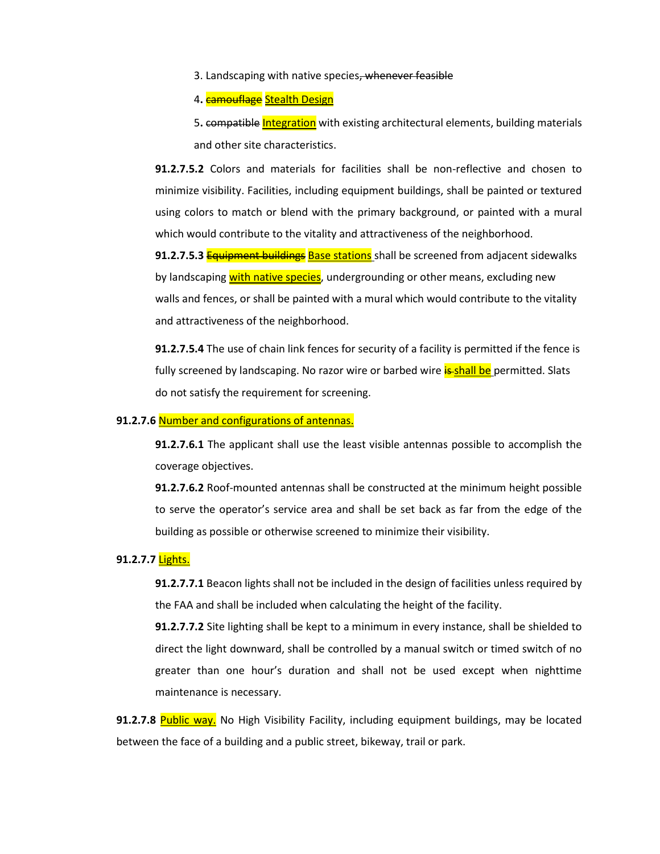3. Landscaping with native species, whenever feasible

4**.** camouflage Stealth Design

5**.** compatible Integration with existing architectural elements, building materials and other site characteristics.

**91.2.7.5.2** Colors and materials for facilities shall be non-reflective and chosen to minimize visibility. Facilities, including equipment buildings, shall be painted or textured using colors to match or blend with the primary background, or painted with a mural which would contribute to the vitality and attractiveness of the neighborhood.

**91.2.7.5.3** Equipment buildings Base stations shall be screened from adjacent sidewalks by landscaping with native species, undergrounding or other means, excluding new walls and fences, or shall be painted with a mural which would contribute to the vitality and attractiveness of the neighborhood.

**91.2.7.5.4** The use of chain link fences for security of a facility is permitted if the fence is fully screened by landscaping. No razor wire or barbed wire **is-shall be** permitted. Slats do not satisfy the requirement for screening.

## **91.2.7.6** Number and configurations of antennas.

**91.2.7.6.1** The applicant shall use the least visible antennas possible to accomplish the coverage objectives.

**91.2.7.6.2** Roof-mounted antennas shall be constructed at the minimum height possible to serve the operator's service area and shall be set back as far from the edge of the building as possible or otherwise screened to minimize their visibility.

#### **91.2.7.7** Lights.

**91.2.7.7.1** Beacon lights shall not be included in the design of facilities unless required by the FAA and shall be included when calculating the height of the facility.

**91.2.7.7.2** Site lighting shall be kept to a minimum in every instance, shall be shielded to direct the light downward, shall be controlled by a manual switch or timed switch of no greater than one hour's duration and shall not be used except when nighttime maintenance is necessary.

**91.2.7.8** Public way. No High Visibility Facility, including equipment buildings, may be located between the face of a building and a public street, bikeway, trail or park.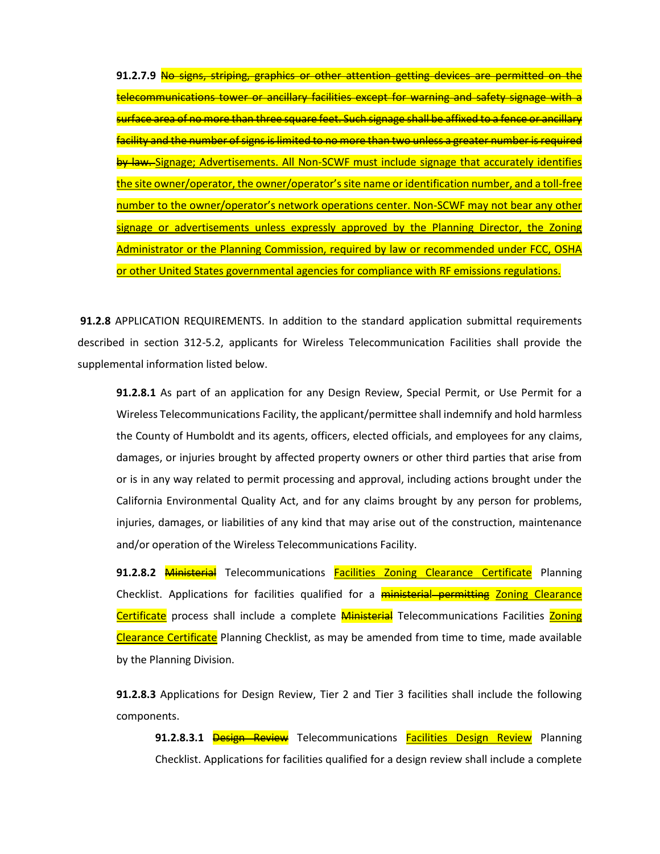**91.2.7.9** No signs, striping, graphics or other attention getting devices are permitted on the telecommunications tower or ancillary facilities except for warning and safety signage with a surface area of no more than three square feet. Such signage shall be affixed to a fence or ancillary facility and the number of signs is limited to no more than two unless a greater number is required by law. Signage; Advertisements. All Non-SCWF must include signage that accurately identifies the site owner/operator, the owner/operator's site name or identification number, and a toll-free number to the owner/operator's network operations center. Non-SCWF may not bear any other signage or advertisements unless expressly approved by the Planning Director, the Zoning Administrator or the Planning Commission, required by law or recommended under FCC, OSHA or other United States governmental agencies for compliance with RF emissions regulations.

**91.2.8** APPLICATION REQUIREMENTS. In addition to the standard application submittal requirements described in section 312-5.2, applicants for Wireless Telecommunication Facilities shall provide the supplemental information listed below.

**91.2.8.1** As part of an application for any Design Review, Special Permit, or Use Permit for a Wireless Telecommunications Facility, the applicant/permittee shall indemnify and hold harmless the County of Humboldt and its agents, officers, elected officials, and employees for any claims, damages, or injuries brought by affected property owners or other third parties that arise from or is in any way related to permit processing and approval, including actions brought under the California Environmental Quality Act, and for any claims brought by any person for problems, injuries, damages, or liabilities of any kind that may arise out of the construction, maintenance and/or operation of the Wireless Telecommunications Facility.

**91.2.8.2** Ministerial Telecommunications Facilities Zoning Clearance Certificate Planning Checklist. Applications for facilities qualified for a **ministerial permitting Zoning Clearance** Certificate process shall include a complete Ministerial Telecommunications Facilities Zoning Clearance Certificate Planning Checklist, as may be amended from time to time, made available by the Planning Division.

**91.2.8.3** Applications for Design Review, Tier 2 and Tier 3 facilities shall include the following components.

**91.2.8.3.1 <del>Design Review</del>** Telecommunications **Facilities Design Review** Planning Checklist. Applications for facilities qualified for a design review shall include a complete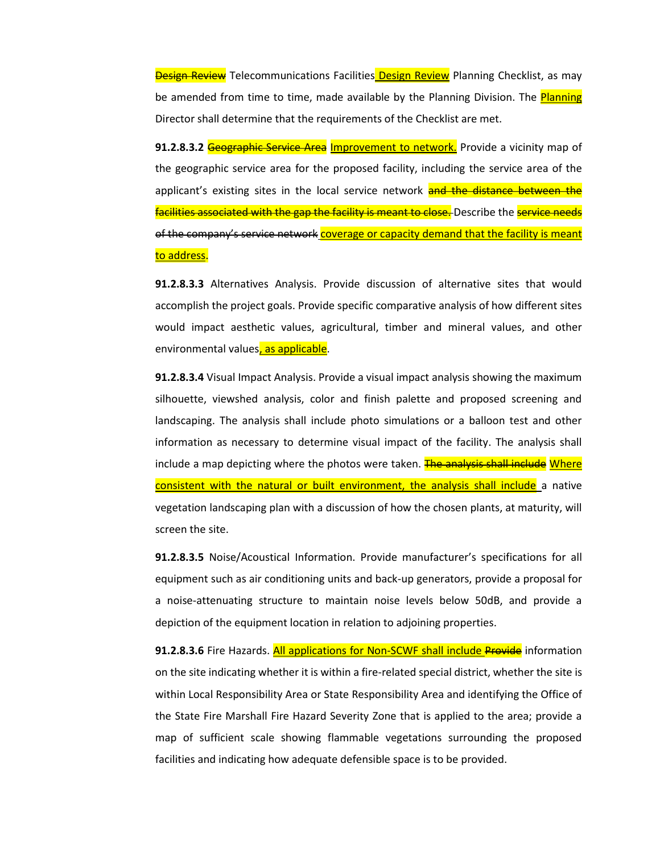**Design Review** Telecommunications Facilities Design Review Planning Checklist, as may be amended from time to time, made available by the Planning Division. The **Planning** Director shall determine that the requirements of the Checklist are met.

**91.2.8.3.2** Geographic Service Area Improvement to network. Provide a vicinity map of the geographic service area for the proposed facility, including the service area of the applicant's existing sites in the local service network and the distance between the facilities associated with the gap the facility is meant to close. Describe the service needs of the company's service network coverage or capacity demand that the facility is meant to address.

**91.2.8.3.3** Alternatives Analysis. Provide discussion of alternative sites that would accomplish the project goals. Provide specific comparative analysis of how different sites would impact aesthetic values, agricultural, timber and mineral values, and other environmental values, as applicable.

**91.2.8.3.4** Visual Impact Analysis. Provide a visual impact analysis showing the maximum silhouette, viewshed analysis, color and finish palette and proposed screening and landscaping. The analysis shall include photo simulations or a balloon test and other information as necessary to determine visual impact of the facility. The analysis shall include a map depicting where the photos were taken. The analysis shall include Where consistent with the natural or built environment, the analysis shall include a native vegetation landscaping plan with a discussion of how the chosen plants, at maturity, will screen the site.

**91.2.8.3.5** Noise/Acoustical Information. Provide manufacturer's specifications for all equipment such as air conditioning units and back-up generators, provide a proposal for a noise-attenuating structure to maintain noise levels below 50dB, and provide a depiction of the equipment location in relation to adjoining properties.

**91.2.8.3.6** Fire Hazards. All applications for Non-SCWF shall include Provide information on the site indicating whether it is within a fire-related special district, whether the site is within Local Responsibility Area or State Responsibility Area and identifying the Office of the State Fire Marshall Fire Hazard Severity Zone that is applied to the area; provide a map of sufficient scale showing flammable vegetations surrounding the proposed facilities and indicating how adequate defensible space is to be provided.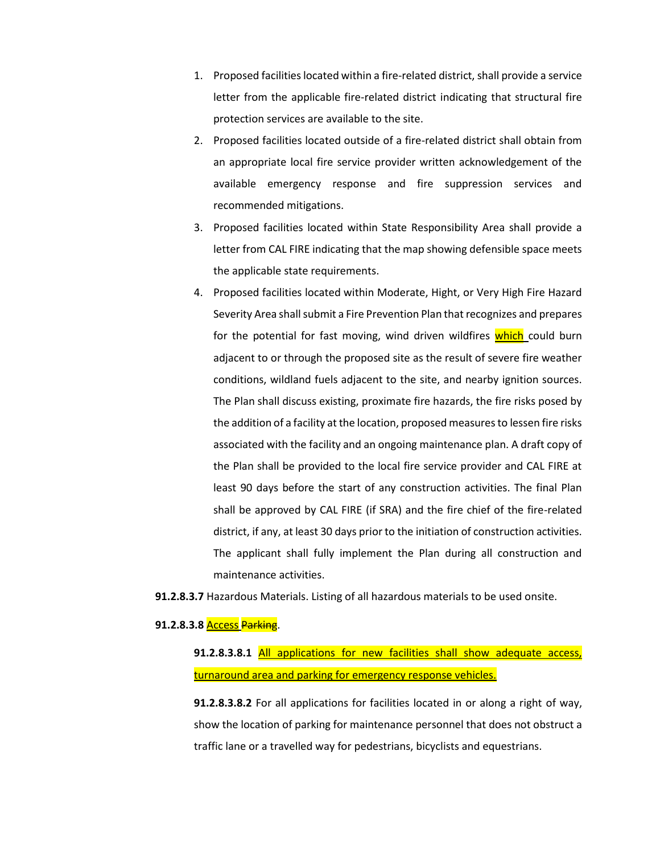- 1. Proposed facilities located within a fire-related district, shall provide a service letter from the applicable fire-related district indicating that structural fire protection services are available to the site.
- 2. Proposed facilities located outside of a fire-related district shall obtain from an appropriate local fire service provider written acknowledgement of the available emergency response and fire suppression services and recommended mitigations.
- 3. Proposed facilities located within State Responsibility Area shall provide a letter from CAL FIRE indicating that the map showing defensible space meets the applicable state requirements.
- 4. Proposed facilities located within Moderate, Hight, or Very High Fire Hazard Severity Area shall submit a Fire Prevention Plan that recognizes and prepares for the potential for fast moving, wind driven wildfires which could burn adjacent to or through the proposed site as the result of severe fire weather conditions, wildland fuels adjacent to the site, and nearby ignition sources. The Plan shall discuss existing, proximate fire hazards, the fire risks posed by the addition of a facility at the location, proposed measures to lessen fire risks associated with the facility and an ongoing maintenance plan. A draft copy of the Plan shall be provided to the local fire service provider and CAL FIRE at least 90 days before the start of any construction activities. The final Plan shall be approved by CAL FIRE (if SRA) and the fire chief of the fire-related district, if any, at least 30 days prior to the initiation of construction activities. The applicant shall fully implement the Plan during all construction and maintenance activities.
- **91.2.8.3.7** Hazardous Materials. Listing of all hazardous materials to be used onsite.

### **91.2.8.3.8** Access Parking.

**91.2.8.3.8.1** All applications for new facilities shall show adequate access, turnaround area and parking for emergency response vehicles.

**91.2.8.3.8.2** For all applications for facilities located in or along a right of way, show the location of parking for maintenance personnel that does not obstruct a traffic lane or a travelled way for pedestrians, bicyclists and equestrians.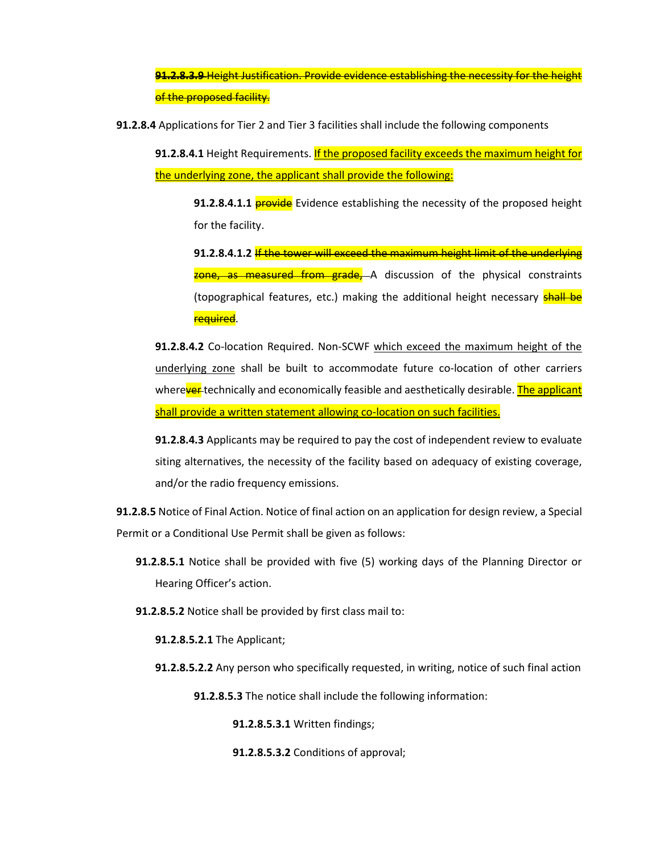**91.2.8.3.9** Height Justification. Provide evidence establishing the necessity for the height of the proposed facility.

**91.2.8.4** Applications for Tier 2 and Tier 3 facilities shall include the following components

**91.2.8.4.1** Height Requirements. **If the proposed facility exceeds the maximum height for** the underlying zone, the applicant shall provide the following:

**91.2.8.4.1.1 provide** Evidence establishing the necessity of the proposed height for the facility.

**91.2.8.4.1.2** If the tower will exceed the maximum height limit of the underlying zone, as measured from grade, A discussion of the physical constraints (topographical features, etc.) making the additional height necessary **shall be** required.

**91.2.8.4.2** Co-location Required. Non-SCWF which exceed the maximum height of the underlying zone shall be built to accommodate future co-location of other carriers wherever technically and economically feasible and aesthetically desirable. The applicant shall provide a written statement allowing co-location on such facilities.

**91.2.8.4.3** Applicants may be required to pay the cost of independent review to evaluate siting alternatives, the necessity of the facility based on adequacy of existing coverage, and/or the radio frequency emissions.

**91.2.8.5** Notice of Final Action. Notice of final action on an application for design review, a Special Permit or a Conditional Use Permit shall be given as follows:

- **91.2.8.5.1** Notice shall be provided with five (5) working days of the Planning Director or Hearing Officer's action.
- **91.2.8.5.2** Notice shall be provided by first class mail to:
	- **91.2.8.5.2.1** The Applicant;
	- **91.2.8.5.2.2** Any person who specifically requested, in writing, notice of such final action
		- **91.2.8.5.3** The notice shall include the following information:

**91.2.8.5.3.1** Written findings;

**91.2.8.5.3.2** Conditions of approval;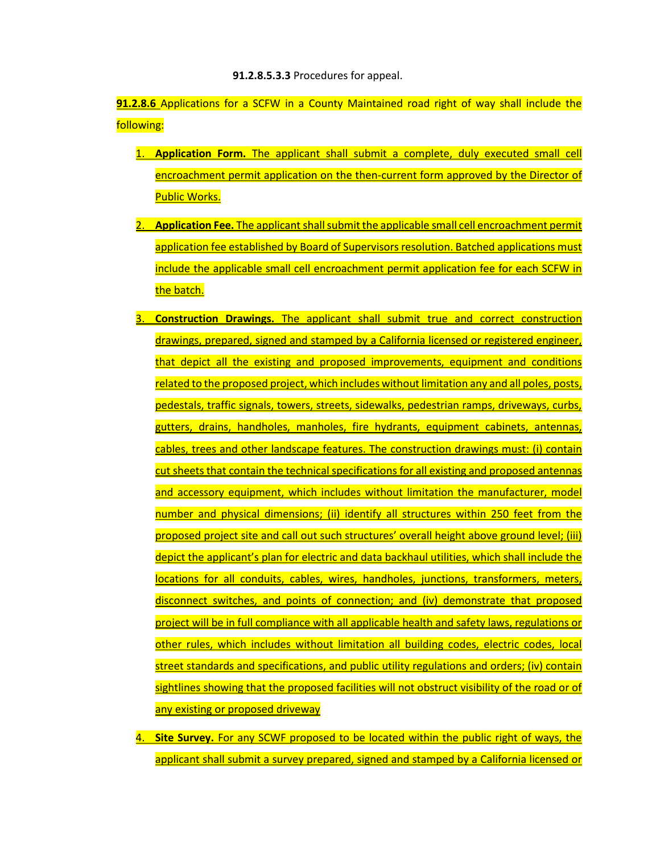**91.2.8.5.3.3** Procedures for appeal.

**91.2.8.6** Applications for a SCFW in a County Maintained road right of way shall include the following:

- 1. **Application Form.** The applicant shall submit a complete, duly executed small cell encroachment permit application on the then-current form approved by the Director of Public Works.
- 2. **Application Fee.** The applicant shall submit the applicable small cell encroachment permit application fee established by Board of Supervisors resolution. Batched applications must include the applicable small cell encroachment permit application fee for each SCFW in the batch.
- 3. **Construction Drawings.** The applicant shall submit true and correct construction drawings, prepared, signed and stamped by a California licensed or registered engineer, that depict all the existing and proposed improvements, equipment and conditions related to the proposed project, which includes without limitation any and all poles, posts, pedestals, traffic signals, towers, streets, sidewalks, pedestrian ramps, driveways, curbs, gutters, drains, handholes, manholes, fire hydrants, equipment cabinets, antennas, cables, trees and other landscape features. The construction drawings must: (i) contain cut sheets that contain the technical specifications for all existing and proposed antennas and accessory equipment, which includes without limitation the manufacturer, model number and physical dimensions; (ii) identify all structures within 250 feet from the proposed project site and call out such structures' overall height above ground level; (iii) depict the applicant's plan for electric and data backhaul utilities, which shall include the locations for all conduits, cables, wires, handholes, junctions, transformers, meters, disconnect switches, and points of connection; and (iv) demonstrate that proposed project will be in full compliance with all applicable health and safety laws, regulations or other rules, which includes without limitation all building codes, electric codes, local street standards and specifications, and public utility regulations and orders; (iv) contain sightlines showing that the proposed facilities will not obstruct visibility of the road or of any existing or proposed driveway
- 4. **Site Survey.** For any SCWF proposed to be located within the public right of ways, the applicant shall submit a survey prepared, signed and stamped by a California licensed or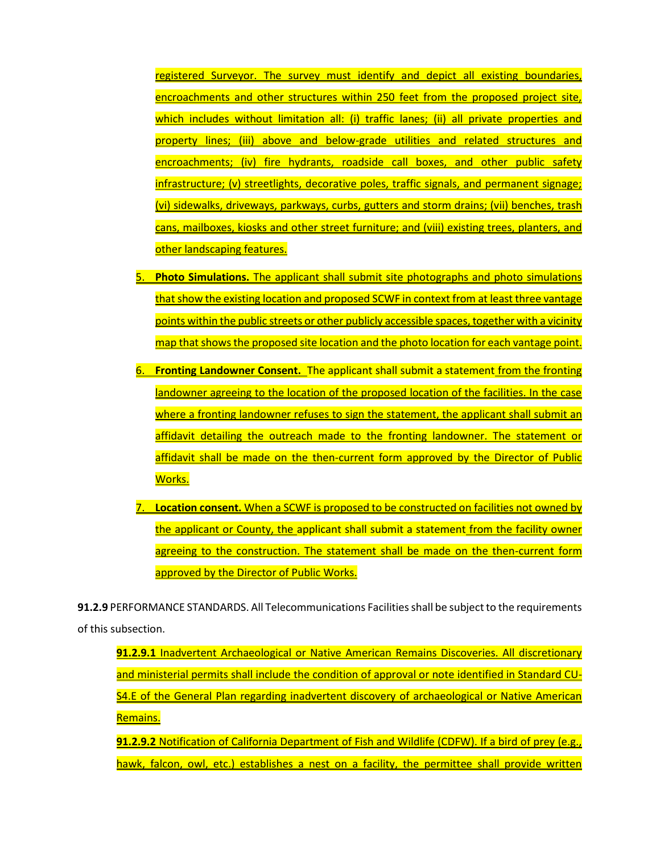registered Surveyor. The survey must identify and depict all existing boundaries, encroachments and other structures within 250 feet from the proposed project site, which includes without limitation all: (i) traffic lanes; (ii) all private properties and property lines; (iii) above and below-grade utilities and related structures and encroachments; (iv) fire hydrants, roadside call boxes, and other public safety infrastructure; (v) streetlights, decorative poles, traffic signals, and permanent signage; (vi) sidewalks, driveways, parkways, curbs, gutters and storm drains; (vii) benches, trash cans, mailboxes, kiosks and other street furniture; and (viii) existing trees, planters, and other landscaping features.

- 5. **Photo Simulations.** The applicant shall submit site photographs and photo simulations that show the existing location and proposed SCWF in context from at least three vantage points within the public streets or other publicly accessible spaces, together with a vicinity map that shows the proposed site location and the photo location for each vantage point.
- **Fronting Landowner Consent.** The applicant shall submit a statement from the fronting landowner agreeing to the location of the proposed location of the facilities. In the case where a fronting landowner refuses to sign the statement, the applicant shall submit an affidavit detailing the outreach made to the fronting landowner. The statement or affidavit shall be made on the then-current form approved by the Director of Public Works.
- 7. **Location consent.** When a SCWF is proposed to be constructed on facilities not owned by the applicant or County, the applicant shall submit a statement from the facility owner agreeing to the construction. The statement shall be made on the then-current form approved by the Director of Public Works.

**91.2.9** PERFORMANCE STANDARDS. All Telecommunications Facilities shall be subject to the requirements of this subsection.

**91.2.9.1** Inadvertent Archaeological or Native American Remains Discoveries. All discretionary and ministerial permits shall include the condition of approval or note identified in Standard CU-S4.E of the General Plan regarding inadvertent discovery of archaeological or Native American Remains.

**91.2.9.2** Notification of California Department of Fish and Wildlife (CDFW). If a bird of prey (e.g., hawk, falcon, owl, etc.) establishes a nest on a facility, the permittee shall provide written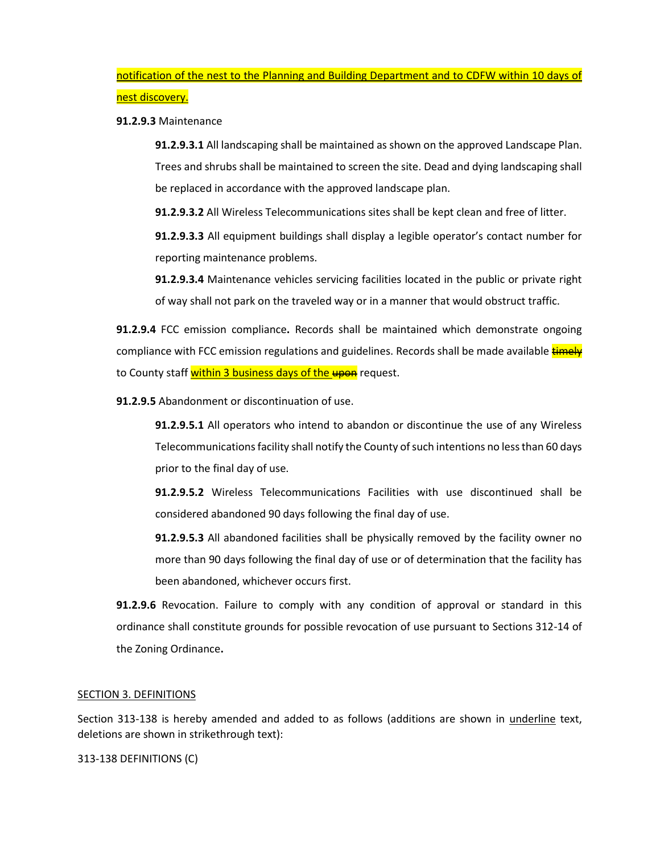notification of the nest to the Planning and Building Department and to CDFW within 10 days of nest discovery.

#### **91.2.9.3** Maintenance

**91.2.9.3.1** All landscaping shall be maintained as shown on the approved Landscape Plan. Trees and shrubs shall be maintained to screen the site. Dead and dying landscaping shall be replaced in accordance with the approved landscape plan.

**91.2.9.3.2** All Wireless Telecommunications sites shall be kept clean and free of litter.

**91.2.9.3.3** All equipment buildings shall display a legible operator's contact number for reporting maintenance problems.

**91.2.9.3.4** Maintenance vehicles servicing facilities located in the public or private right of way shall not park on the traveled way or in a manner that would obstruct traffic.

**91.2.9.4** FCC emission compliance**.** Records shall be maintained which demonstrate ongoing compliance with FCC emission regulations and guidelines. Records shall be made available timely to County staff within 3 business days of the upon request.

**91.2.9.5** Abandonment or discontinuation of use.

**91.2.9.5.1** All operators who intend to abandon or discontinue the use of any Wireless Telecommunications facility shall notify the County of such intentions no less than 60 days prior to the final day of use.

**91.2.9.5.2** Wireless Telecommunications Facilities with use discontinued shall be considered abandoned 90 days following the final day of use.

**91.2.9.5.3** All abandoned facilities shall be physically removed by the facility owner no more than 90 days following the final day of use or of determination that the facility has been abandoned, whichever occurs first.

**91.2.9.6** Revocation. Failure to comply with any condition of approval or standard in this ordinance shall constitute grounds for possible revocation of use pursuant to Sections 312-14 of the Zoning Ordinance**.** 

#### SECTION 3. DEFINITIONS

Section 313-138 is hereby amended and added to as follows (additions are shown in underline text, deletions are shown in strikethrough text):

313-138 DEFINITIONS (C)